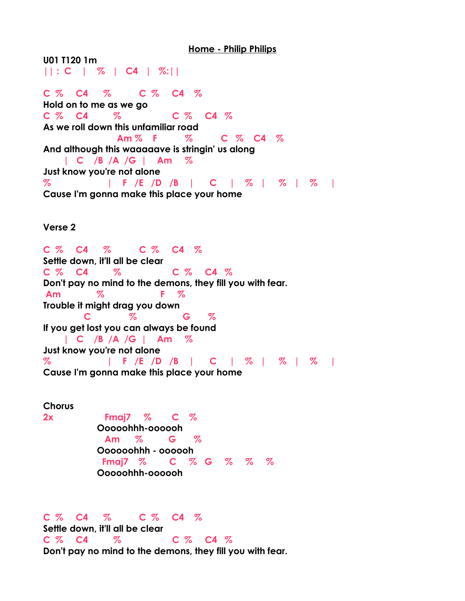**Home - Philip Philips**

**U01 T120 1m || : C | % | C4 | %:||**

**C % C4 % C % C4 % Hold on to me as we go C % C4 % C % C4 % As we roll down this unfamiliar road Am % F % C % C4 % And although this waaaaave is stringin' us along | C /B /A /G | Am % Just know you're not alone % | F /E /D /B | C | % | % | % | Cause I'm gonna make this place your home**

**Verse 2**

**C % C4 % C % C4 % Settle down, it'll all be clear C % C4 % C % C4 % Don't pay no mind to the demons, they fill you with fear. Am % F % Trouble it might drag you down C % G % If you get lost you can always be found | C /B /A /G | Am % Just know you're not alone % | F /E /D /B | C | % | % | % | Cause I'm gonna make this place your home**

**Chorus 2x Fmaj7 % C % Ooooohhh-oooooh Am % G % Oooooohhh - oooooh Fmaj7 % C % G % % % Ooooohhh-oooooh**

**C % C4 % C % C4 %**

**Settle down, it'll all be clear C % C4 % C % C4 % Don't pay no mind to the demons, they fill you with fear.**